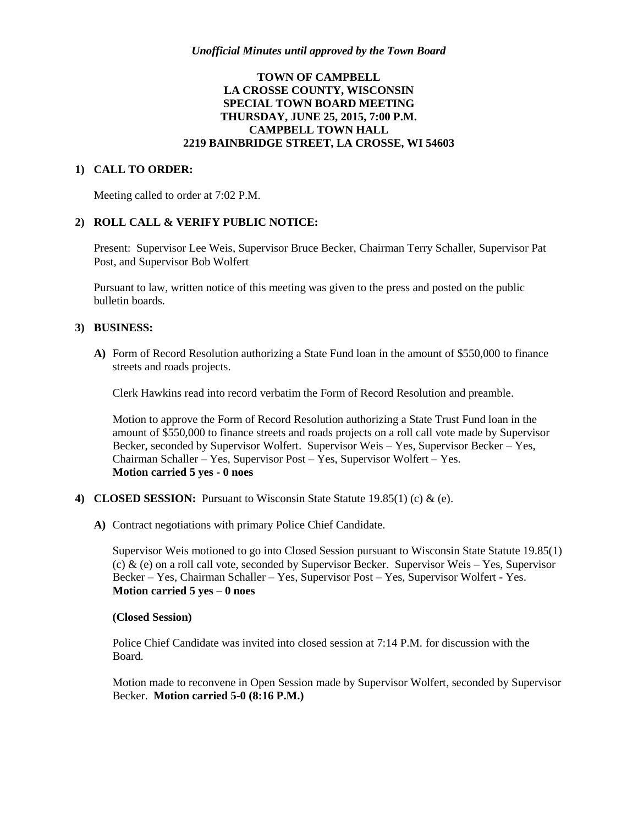## **TOWN OF CAMPBELL LA CROSSE COUNTY, WISCONSIN SPECIAL TOWN BOARD MEETING THURSDAY, JUNE 25, 2015, 7:00 P.M. CAMPBELL TOWN HALL 2219 BAINBRIDGE STREET, LA CROSSE, WI 54603**

### **1) CALL TO ORDER:**

Meeting called to order at 7:02 P.M.

#### **2) ROLL CALL & VERIFY PUBLIC NOTICE:**

Present: Supervisor Lee Weis, Supervisor Bruce Becker, Chairman Terry Schaller, Supervisor Pat Post, and Supervisor Bob Wolfert

Pursuant to law, written notice of this meeting was given to the press and posted on the public bulletin boards.

### **3) BUSINESS:**

**A)** Form of Record Resolution authorizing a State Fund loan in the amount of \$550,000 to finance streets and roads projects.

Clerk Hawkins read into record verbatim the Form of Record Resolution and preamble.

Motion to approve the Form of Record Resolution authorizing a State Trust Fund loan in the amount of \$550,000 to finance streets and roads projects on a roll call vote made by Supervisor Becker, seconded by Supervisor Wolfert. Supervisor Weis – Yes, Supervisor Becker – Yes, Chairman Schaller – Yes, Supervisor Post – Yes, Supervisor Wolfert – Yes. **Motion carried 5 yes - 0 noes**

- **4) CLOSED SESSION:** Pursuant to Wisconsin State Statute 19.85(1) (c) & (e).
	- **A)** Contract negotiations with primary Police Chief Candidate.

Supervisor Weis motioned to go into Closed Session pursuant to Wisconsin State Statute 19.85(1) (c)  $\&$  (e) on a roll call vote, seconded by Supervisor Becker. Supervisor Weis – Yes, Supervisor Becker – Yes, Chairman Schaller – Yes, Supervisor Post – Yes, Supervisor Wolfert - Yes. **Motion carried 5 yes – 0 noes** 

#### **(Closed Session)**

Police Chief Candidate was invited into closed session at 7:14 P.M. for discussion with the Board.

Motion made to reconvene in Open Session made by Supervisor Wolfert, seconded by Supervisor Becker. **Motion carried 5-0 (8:16 P.M.)**